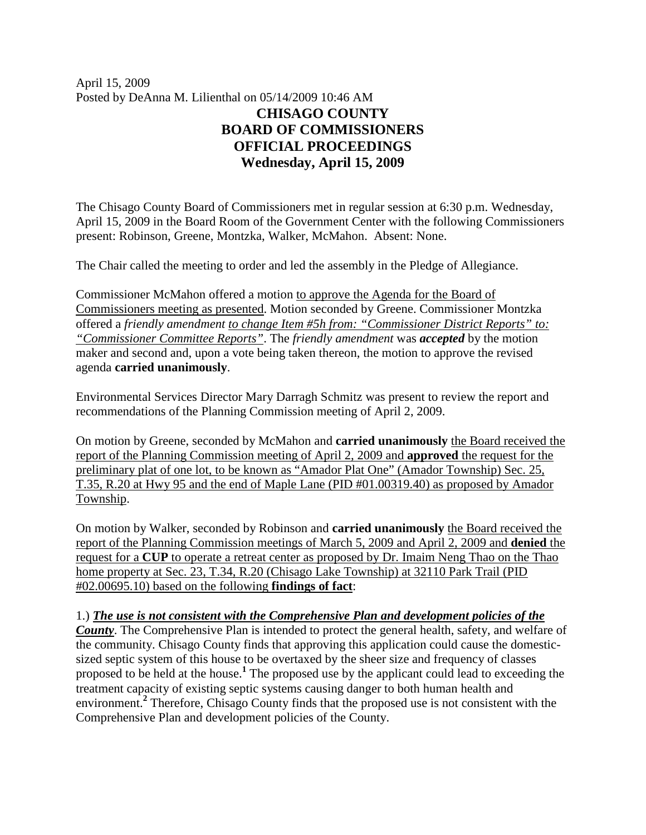April 15, 2009 Posted by DeAnna M. Lilienthal on 05/14/2009 10:46 AM **CHISAGO COUNTY BOARD OF COMMISSIONERS OFFICIAL PROCEEDINGS Wednesday, April 15, 2009**

The Chisago County Board of Commissioners met in regular session at 6:30 p.m. Wednesday, April 15, 2009 in the Board Room of the Government Center with the following Commissioners present: Robinson, Greene, Montzka, Walker, McMahon. Absent: None.

The Chair called the meeting to order and led the assembly in the Pledge of Allegiance.

Commissioner McMahon offered a motion to approve the Agenda for the Board of Commissioners meeting as presented. Motion seconded by Greene. Commissioner Montzka offered a *friendly amendment to change Item #5h from: "Commissioner District Reports" to: "Commissioner Committee Reports"*. The *friendly amendment* was *accepted* by the motion maker and second and, upon a vote being taken thereon, the motion to approve the revised agenda **carried unanimously**.

Environmental Services Director Mary Darragh Schmitz was present to review the report and recommendations of the Planning Commission meeting of April 2, 2009.

On motion by Greene, seconded by McMahon and **carried unanimously** the Board received the report of the Planning Commission meeting of April 2, 2009 and **approved** the request for the preliminary plat of one lot, to be known as "Amador Plat One" (Amador Township) Sec. 25, T.35, R.20 at Hwy 95 and the end of Maple Lane (PID #01.00319.40) as proposed by Amador Township.

On motion by Walker, seconded by Robinson and **carried unanimously** the Board received the report of the Planning Commission meetings of March 5, 2009 and April 2, 2009 and **denied** the request for a **CUP** to operate a retreat center as proposed by Dr. Imaim Neng Thao on the Thao home property at Sec. 23, T.34, R.20 (Chisago Lake Township) at 32110 Park Trail (PID #02.00695.10) based on the following **findings of fact**:

1.) *The use is not consistent with the Comprehensive Plan and development policies of the County*. The Comprehensive Plan is intended to protect the general health, safety, and welfare of the community. Chisago County finds that approving this application could cause the domesticsized septic system of this house to be overtaxed by the sheer size and frequency of classes proposed to be held at the house.**<sup>1</sup>** The proposed use by the applicant could lead to exceeding the treatment capacity of existing septic systems causing danger to both human health and environment.<sup>2</sup> Therefore, Chisago County finds that the proposed use is not consistent with the Comprehensive Plan and development policies of the County.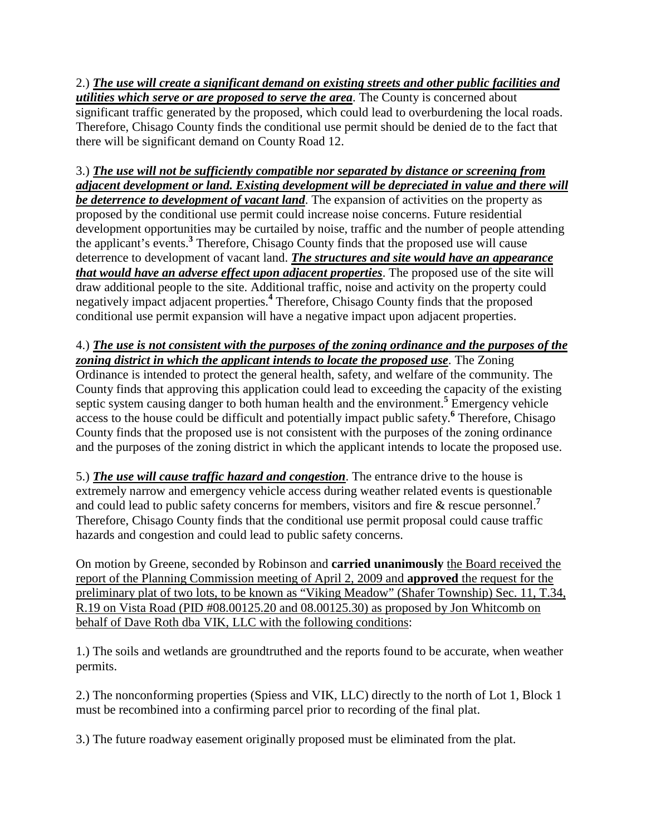2.) *The use will create a significant demand on existing streets and other public facilities and utilities which serve or are proposed to serve the area*. The County is concerned about significant traffic generated by the proposed, which could lead to overburdening the local roads. Therefore, Chisago County finds the conditional use permit should be denied de to the fact that there will be significant demand on County Road 12.

# 3.) *The use will not be sufficiently compatible nor separated by distance or screening from adjacent development or land. Existing development will be depreciated in value and there will*

*be deterrence to development of vacant land*. The expansion of activities on the property as proposed by the conditional use permit could increase noise concerns. Future residential development opportunities may be curtailed by noise, traffic and the number of people attending the applicant's events.**<sup>3</sup>** Therefore, Chisago County finds that the proposed use will cause deterrence to development of vacant land. *The structures and site would have an appearance that would have an adverse effect upon adjacent properties*. The proposed use of the site will draw additional people to the site. Additional traffic, noise and activity on the property could negatively impact adjacent properties.**<sup>4</sup>** Therefore, Chisago County finds that the proposed conditional use permit expansion will have a negative impact upon adjacent properties.

### 4.) *The use is not consistent with the purposes of the zoning ordinance and the purposes of the zoning district in which the applicant intends to locate the proposed use*. The Zoning Ordinance is intended to protect the general health, safety, and welfare of the community. The County finds that approving this application could lead to exceeding the capacity of the existing septic system causing danger to both human health and the environment.<sup>5</sup> Emergency vehicle access to the house could be difficult and potentially impact public safety.<sup>6</sup> Therefore, Chisago County finds that the proposed use is not consistent with the purposes of the zoning ordinance and the purposes of the zoning district in which the applicant intends to locate the proposed use.

5.) *The use will cause traffic hazard and congestion*. The entrance drive to the house is extremely narrow and emergency vehicle access during weather related events is questionable and could lead to public safety concerns for members, visitors and fire & rescue personnel.**<sup>7</sup>** Therefore, Chisago County finds that the conditional use permit proposal could cause traffic hazards and congestion and could lead to public safety concerns.

On motion by Greene, seconded by Robinson and **carried unanimously** the Board received the report of the Planning Commission meeting of April 2, 2009 and **approved** the request for the preliminary plat of two lots, to be known as "Viking Meadow" (Shafer Township) Sec. 11, T.34, R.19 on Vista Road (PID #08.00125.20 and 08.00125.30) as proposed by Jon Whitcomb on behalf of Dave Roth dba VIK, LLC with the following conditions:

1.) The soils and wetlands are groundtruthed and the reports found to be accurate, when weather permits.

2.) The nonconforming properties (Spiess and VIK, LLC) directly to the north of Lot 1, Block 1 must be recombined into a confirming parcel prior to recording of the final plat.

3.) The future roadway easement originally proposed must be eliminated from the plat.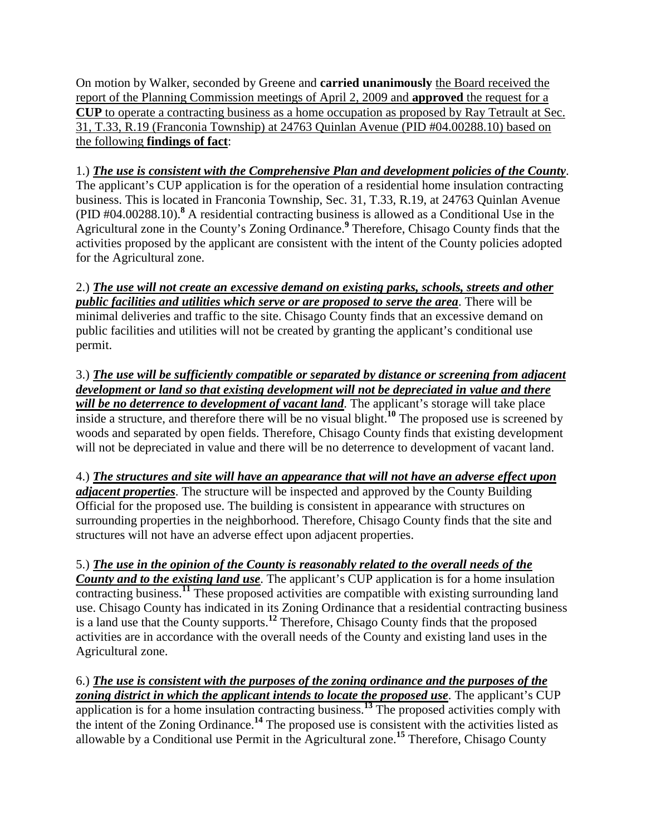On motion by Walker, seconded by Greene and **carried unanimously** the Board received the report of the Planning Commission meetings of April 2, 2009 and **approved** the request for a **CUP** to operate a contracting business as a home occupation as proposed by Ray Tetrault at Sec. 31, T.33, R.19 (Franconia Township) at 24763 Quinlan Avenue (PID #04.00288.10) based on the following **findings of fact**:

1.) *The use is consistent with the Comprehensive Plan and development policies of the County*. The applicant's CUP application is for the operation of a residential home insulation contracting business. This is located in Franconia Township, Sec. 31, T.33, R.19, at 24763 Quinlan Avenue (PID #04.00288.10).**<sup>8</sup>** A residential contracting business is allowed as a Conditional Use in the Agricultural zone in the County's Zoning Ordinance.**<sup>9</sup>** Therefore, Chisago County finds that the activities proposed by the applicant are consistent with the intent of the County policies adopted for the Agricultural zone.

2.) *The use will not create an excessive demand on existing parks, schools, streets and other public facilities and utilities which serve or are proposed to serve the area*. There will be minimal deliveries and traffic to the site. Chisago County finds that an excessive demand on public facilities and utilities will not be created by granting the applicant's conditional use permit.

3.) *The use will be sufficiently compatible or separated by distance or screening from adjacent development or land so that existing development will not be depreciated in value and there will be no deterrence to development of vacant land.* The applicant's storage will take place inside a structure, and therefore there will be no visual blight.**<sup>10</sup>** The proposed use is screened by woods and separated by open fields. Therefore, Chisago County finds that existing development will not be depreciated in value and there will be no deterrence to development of vacant land.

4.) *The structures and site will have an appearance that will not have an adverse effect upon adjacent properties*. The structure will be inspected and approved by the County Building Official for the proposed use. The building is consistent in appearance with structures on surrounding properties in the neighborhood. Therefore, Chisago County finds that the site and structures will not have an adverse effect upon adjacent properties.

5.) *The use in the opinion of the County is reasonably related to the overall needs of the County and to the existing land use*. The applicant's CUP application is for a home insulation contracting business.<sup>11</sup> These proposed activities are compatible with existing surrounding land use. Chisago County has indicated in its Zoning Ordinance that a residential contracting business is a land use that the County supports.**<sup>12</sup>** Therefore, Chisago County finds that the proposed activities are in accordance with the overall needs of the County and existing land uses in the Agricultural zone.

6.) *The use is consistent with the purposes of the zoning ordinance and the purposes of the*  zoning district in which the applicant intends to locate the proposed use. The applicant's CUP application is for a home insulation contracting business.**<sup>13</sup>** The proposed activities comply with the intent of the Zoning Ordinance.<sup>14</sup> The proposed use is consistent with the activities listed as allowable by a Conditional use Permit in the Agricultural zone.**<sup>15</sup>** Therefore, Chisago County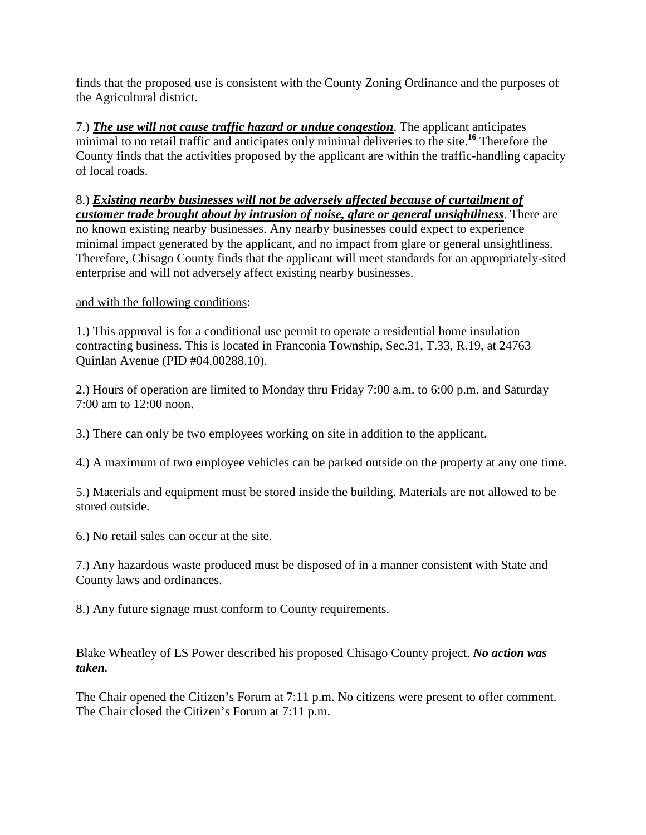finds that the proposed use is consistent with the County Zoning Ordinance and the purposes of the Agricultural district.

7.) *The use will not cause traffic hazard or undue congestion*. The applicant anticipates minimal to no retail traffic and anticipates only minimal deliveries to the site.**<sup>16</sup>** Therefore the County finds that the activities proposed by the applicant are within the traffic-handling capacity of local roads.

### 8.) *Existing nearby businesses will not be adversely affected because of curtailment of customer trade brought about by intrusion of noise, glare or general unsightliness*. There are

no known existing nearby businesses. Any nearby businesses could expect to experience minimal impact generated by the applicant, and no impact from glare or general unsightliness. Therefore, Chisago County finds that the applicant will meet standards for an appropriately-sited enterprise and will not adversely affect existing nearby businesses.

# and with the following conditions:

1.) This approval is for a conditional use permit to operate a residential home insulation contracting business. This is located in Franconia Township, Sec.31, T.33, R.19, at 24763 Quinlan Avenue (PID #04.00288.10).

2.) Hours of operation are limited to Monday thru Friday 7:00 a.m. to 6:00 p.m. and Saturday 7:00 am to 12:00 noon.

3.) There can only be two employees working on site in addition to the applicant.

4.) A maximum of two employee vehicles can be parked outside on the property at any one time.

5.) Materials and equipment must be stored inside the building. Materials are not allowed to be stored outside.

6.) No retail sales can occur at the site.

7.) Any hazardous waste produced must be disposed of in a manner consistent with State and County laws and ordinances.

8.) Any future signage must conform to County requirements.

Blake Wheatley of LS Power described his proposed Chisago County project. *No action was taken.*

The Chair opened the Citizen's Forum at 7:11 p.m. No citizens were present to offer comment. The Chair closed the Citizen's Forum at 7:11 p.m.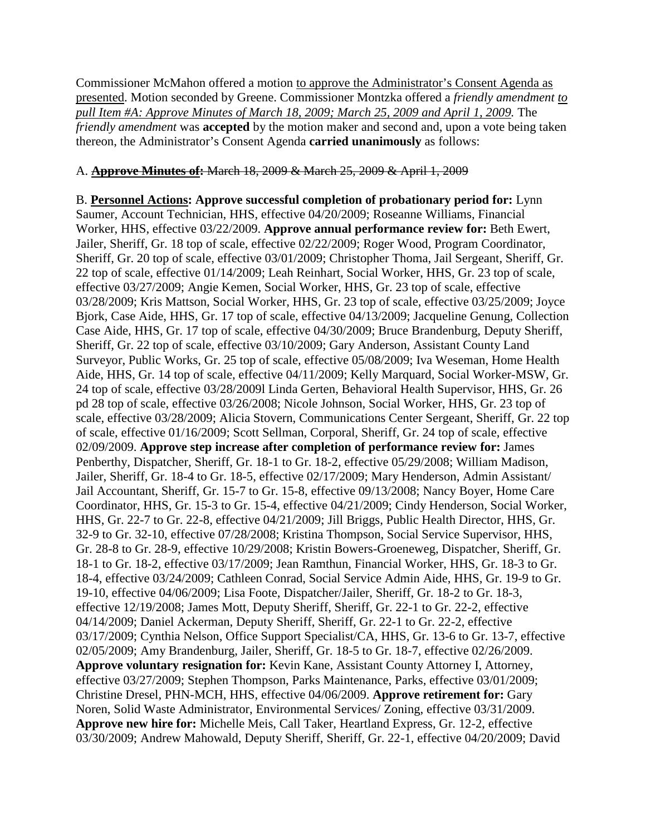Commissioner McMahon offered a motion to approve the Administrator's Consent Agenda as presented. Motion seconded by Greene. Commissioner Montzka offered a *friendly amendment to pull Item #A: Approve Minutes of March 18, 2009; March 25, 2009 and April 1, 2009.* The *friendly amendment* was **accepted** by the motion maker and second and, upon a vote being taken thereon, the Administrator's Consent Agenda **carried unanimously** as follows:

#### A. **Approve Minutes of:** March 18, 2009 & March 25, 2009 & April 1, 2009

B. **Personnel Actions: Approve successful completion of probationary period for:** Lynn Saumer, Account Technician, HHS, effective 04/20/2009; Roseanne Williams, Financial Worker, HHS, effective 03/22/2009. **Approve annual performance review for:** Beth Ewert, Jailer, Sheriff, Gr. 18 top of scale, effective 02/22/2009; Roger Wood, Program Coordinator, Sheriff, Gr. 20 top of scale, effective 03/01/2009; Christopher Thoma, Jail Sergeant, Sheriff, Gr. 22 top of scale, effective 01/14/2009; Leah Reinhart, Social Worker, HHS, Gr. 23 top of scale, effective 03/27/2009; Angie Kemen, Social Worker, HHS, Gr. 23 top of scale, effective 03/28/2009; Kris Mattson, Social Worker, HHS, Gr. 23 top of scale, effective 03/25/2009; Joyce Bjork, Case Aide, HHS, Gr. 17 top of scale, effective 04/13/2009; Jacqueline Genung, Collection Case Aide, HHS, Gr. 17 top of scale, effective 04/30/2009; Bruce Brandenburg, Deputy Sheriff, Sheriff, Gr. 22 top of scale, effective 03/10/2009; Gary Anderson, Assistant County Land Surveyor, Public Works, Gr. 25 top of scale, effective 05/08/2009; Iva Weseman, Home Health Aide, HHS, Gr. 14 top of scale, effective 04/11/2009; Kelly Marquard, Social Worker-MSW, Gr. 24 top of scale, effective 03/28/2009l Linda Gerten, Behavioral Health Supervisor, HHS, Gr. 26 pd 28 top of scale, effective 03/26/2008; Nicole Johnson, Social Worker, HHS, Gr. 23 top of scale, effective 03/28/2009; Alicia Stovern, Communications Center Sergeant, Sheriff, Gr. 22 top of scale, effective 01/16/2009; Scott Sellman, Corporal, Sheriff, Gr. 24 top of scale, effective 02/09/2009. **Approve step increase after completion of performance review for:** James Penberthy, Dispatcher, Sheriff, Gr. 18-1 to Gr. 18-2, effective 05/29/2008; William Madison, Jailer, Sheriff, Gr. 18-4 to Gr. 18-5, effective 02/17/2009; Mary Henderson, Admin Assistant/ Jail Accountant, Sheriff, Gr. 15-7 to Gr. 15-8, effective 09/13/2008; Nancy Boyer, Home Care Coordinator, HHS, Gr. 15-3 to Gr. 15-4, effective 04/21/2009; Cindy Henderson, Social Worker, HHS, Gr. 22-7 to Gr. 22-8, effective 04/21/2009; Jill Briggs, Public Health Director, HHS, Gr. 32-9 to Gr. 32-10, effective 07/28/2008; Kristina Thompson, Social Service Supervisor, HHS, Gr. 28-8 to Gr. 28-9, effective 10/29/2008; Kristin Bowers-Groeneweg, Dispatcher, Sheriff, Gr. 18-1 to Gr. 18-2, effective 03/17/2009; Jean Ramthun, Financial Worker, HHS, Gr. 18-3 to Gr. 18-4, effective 03/24/2009; Cathleen Conrad, Social Service Admin Aide, HHS, Gr. 19-9 to Gr. 19-10, effective 04/06/2009; Lisa Foote, Dispatcher/Jailer, Sheriff, Gr. 18-2 to Gr. 18-3, effective 12/19/2008; James Mott, Deputy Sheriff, Sheriff, Gr. 22-1 to Gr. 22-2, effective 04/14/2009; Daniel Ackerman, Deputy Sheriff, Sheriff, Gr. 22-1 to Gr. 22-2, effective 03/17/2009; Cynthia Nelson, Office Support Specialist/CA, HHS, Gr. 13-6 to Gr. 13-7, effective 02/05/2009; Amy Brandenburg, Jailer, Sheriff, Gr. 18-5 to Gr. 18-7, effective 02/26/2009. **Approve voluntary resignation for:** Kevin Kane, Assistant County Attorney I, Attorney, effective 03/27/2009; Stephen Thompson, Parks Maintenance, Parks, effective 03/01/2009; Christine Dresel, PHN-MCH, HHS, effective 04/06/2009. **Approve retirement for:** Gary Noren, Solid Waste Administrator, Environmental Services/ Zoning, effective 03/31/2009. **Approve new hire for:** Michelle Meis, Call Taker, Heartland Express, Gr. 12-2, effective 03/30/2009; Andrew Mahowald, Deputy Sheriff, Sheriff, Gr. 22-1, effective 04/20/2009; David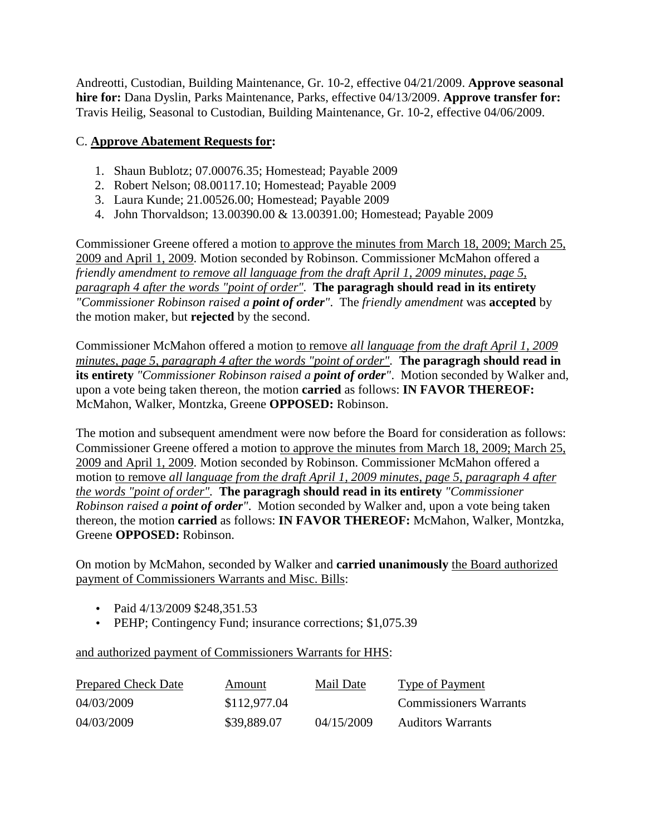Andreotti, Custodian, Building Maintenance, Gr. 10-2, effective 04/21/2009. **Approve seasonal hire for:** Dana Dyslin, Parks Maintenance, Parks, effective 04/13/2009. **Approve transfer for:** Travis Heilig, Seasonal to Custodian, Building Maintenance, Gr. 10-2, effective 04/06/2009.

## C. **Approve Abatement Requests for:**

- 1. Shaun Bublotz; 07.00076.35; Homestead; Payable 2009
- 2. Robert Nelson; 08.00117.10; Homestead; Payable 2009
- 3. Laura Kunde; 21.00526.00; Homestead; Payable 2009
- 4. John Thorvaldson; 13.00390.00 & 13.00391.00; Homestead; Payable 2009

Commissioner Greene offered a motion to approve the minutes from March 18, 2009; March 25, 2009 and April 1, 2009. Motion seconded by Robinson. Commissioner McMahon offered a *friendly amendment to remove all language from the draft April 1, 2009 minutes, page 5, paragraph 4 after the words "point of order".* **The paragragh should read in its entirety** *"Commissioner Robinson raised a point of order"*. The *friendly amendment* was **accepted** by the motion maker, but **rejected** by the second.

Commissioner McMahon offered a motion to remove *all language from the draft April 1, 2009 minutes, page 5, paragraph 4 after the words "point of order".* **The paragragh should read in its entirety** *"Commissioner Robinson raised a point of order"*. Motion seconded by Walker and, upon a vote being taken thereon, the motion **carried** as follows: **IN FAVOR THEREOF:** McMahon, Walker, Montzka, Greene **OPPOSED:** Robinson.

The motion and subsequent amendment were now before the Board for consideration as follows: Commissioner Greene offered a motion to approve the minutes from March 18, 2009; March 25, 2009 and April 1, 2009. Motion seconded by Robinson. Commissioner McMahon offered a motion to remove *all language from the draft April 1, 2009 minutes, page 5, paragraph 4 after the words "point of order".* **The paragragh should read in its entirety** *"Commissioner Robinson raised a point of order"*. Motion seconded by Walker and, upon a vote being taken thereon, the motion **carried** as follows: **IN FAVOR THEREOF:** McMahon, Walker, Montzka, Greene **OPPOSED:** Robinson.

On motion by McMahon, seconded by Walker and **carried unanimously** the Board authorized payment of Commissioners Warrants and Misc. Bills:

- Paid 4/13/2009 \$248,351.53
- PEHP; Contingency Fund; insurance corrections; \$1,075.39

and authorized payment of Commissioners Warrants for HHS:

| <b>Prepared Check Date</b> | Amount       | Mail Date  | Type of Payment               |
|----------------------------|--------------|------------|-------------------------------|
| 04/03/2009                 | \$112,977.04 |            | <b>Commissioners Warrants</b> |
| 04/03/2009                 | \$39,889.07  | 04/15/2009 | <b>Auditors Warrants</b>      |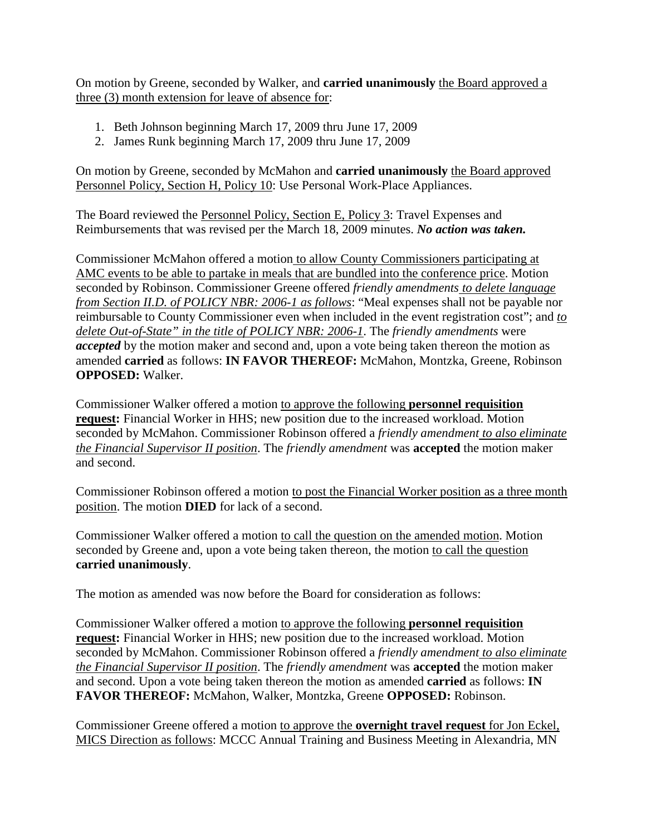On motion by Greene, seconded by Walker, and **carried unanimously** the Board approved a three (3) month extension for leave of absence for:

- 1. Beth Johnson beginning March 17, 2009 thru June 17, 2009
- 2. James Runk beginning March 17, 2009 thru June 17, 2009

On motion by Greene, seconded by McMahon and **carried unanimously** the Board approved Personnel Policy, Section H, Policy 10: Use Personal Work-Place Appliances.

The Board reviewed the Personnel Policy, Section E, Policy 3: Travel Expenses and Reimbursements that was revised per the March 18, 2009 minutes. *No action was taken.*

Commissioner McMahon offered a motion to allow County Commissioners participating at AMC events to be able to partake in meals that are bundled into the conference price. Motion seconded by Robinson. Commissioner Greene offered *friendly amendments to delete language from Section II.D. of POLICY NBR: 2006-1 as follows*: "Meal expenses shall not be payable nor reimbursable to County Commissioner even when included in the event registration cost"; and *to delete Out-of-State" in the title of POLICY NBR: 2006-1*. The *friendly amendments* were *accepted* by the motion maker and second and, upon a vote being taken thereon the motion as amended **carried** as follows: **IN FAVOR THEREOF:** McMahon, Montzka, Greene, Robinson **OPPOSED:** Walker.

Commissioner Walker offered a motion to approve the following **personnel requisition request:** Financial Worker in HHS; new position due to the increased workload. Motion seconded by McMahon. Commissioner Robinson offered a *friendly amendment to also eliminate the Financial Supervisor II position*. The *friendly amendment* was **accepted** the motion maker and second.

Commissioner Robinson offered a motion to post the Financial Worker position as a three month position. The motion **DIED** for lack of a second.

Commissioner Walker offered a motion to call the question on the amended motion. Motion seconded by Greene and, upon a vote being taken thereon, the motion to call the question **carried unanimously**.

The motion as amended was now before the Board for consideration as follows:

Commissioner Walker offered a motion to approve the following **personnel requisition request:** Financial Worker in HHS; new position due to the increased workload. Motion seconded by McMahon. Commissioner Robinson offered a *friendly amendment to also eliminate the Financial Supervisor II position*. The *friendly amendment* was **accepted** the motion maker and second. Upon a vote being taken thereon the motion as amended **carried** as follows: **IN FAVOR THEREOF:** McMahon, Walker, Montzka, Greene **OPPOSED:** Robinson.

Commissioner Greene offered a motion to approve the **overnight travel request** for Jon Eckel, MICS Direction as follows: MCCC Annual Training and Business Meeting in Alexandria, MN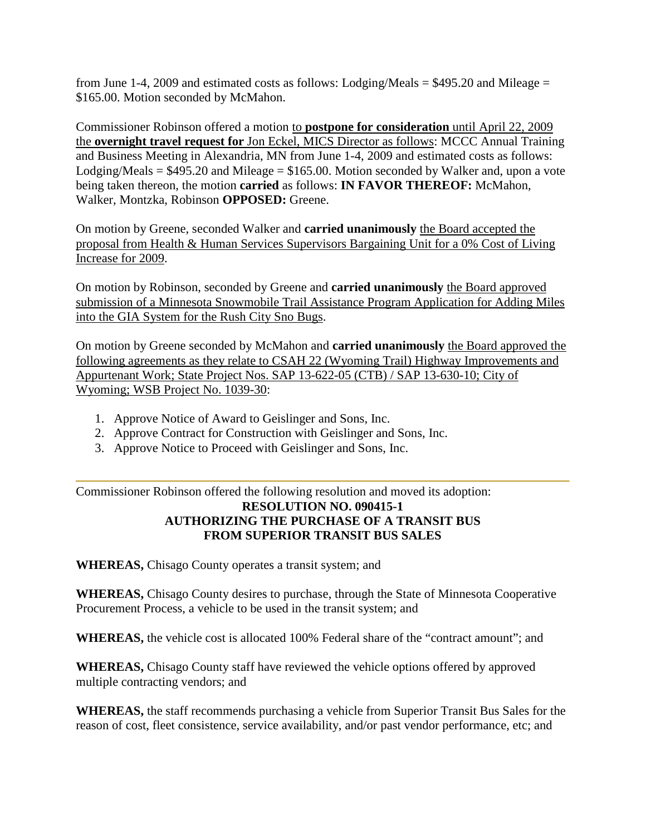from June 1-4, 2009 and estimated costs as follows: Lodging/Meals  $=$  \$495.20 and Mileage  $=$ \$165.00. Motion seconded by McMahon.

Commissioner Robinson offered a motion to **postpone for consideration** until April 22, 2009 the **overnight travel request for** Jon Eckel, MICS Director as follows: MCCC Annual Training and Business Meeting in Alexandria, MN from June 1-4, 2009 and estimated costs as follows: Lodging/Meals =  $$495.20$  and Mileage =  $$165.00$ . Motion seconded by Walker and, upon a vote being taken thereon, the motion **carried** as follows: **IN FAVOR THEREOF:** McMahon, Walker, Montzka, Robinson **OPPOSED:** Greene.

On motion by Greene, seconded Walker and **carried unanimously** the Board accepted the proposal from Health & Human Services Supervisors Bargaining Unit for a 0% Cost of Living Increase for 2009.

On motion by Robinson, seconded by Greene and **carried unanimously** the Board approved submission of a Minnesota Snowmobile Trail Assistance Program Application for Adding Miles into the GIA System for the Rush City Sno Bugs.

On motion by Greene seconded by McMahon and **carried unanimously** the Board approved the following agreements as they relate to CSAH 22 (Wyoming Trail) Highway Improvements and Appurtenant Work; State Project Nos. SAP 13-622-05 (CTB) / SAP 13-630-10; City of Wyoming; WSB Project No. 1039-30:

- 1. Approve Notice of Award to Geislinger and Sons, Inc.
- 2. Approve Contract for Construction with Geislinger and Sons, Inc.
- 3. Approve Notice to Proceed with Geislinger and Sons, Inc.

Commissioner Robinson offered the following resolution and moved its adoption: **RESOLUTION NO. 090415-1 AUTHORIZING THE PURCHASE OF A TRANSIT BUS FROM SUPERIOR TRANSIT BUS SALES**

**WHEREAS,** Chisago County operates a transit system; and

**WHEREAS,** Chisago County desires to purchase, through the State of Minnesota Cooperative Procurement Process, a vehicle to be used in the transit system; and

**WHEREAS,** the vehicle cost is allocated 100% Federal share of the "contract amount"; and

**WHEREAS,** Chisago County staff have reviewed the vehicle options offered by approved multiple contracting vendors; and

**WHEREAS,** the staff recommends purchasing a vehicle from Superior Transit Bus Sales for the reason of cost, fleet consistence, service availability, and/or past vendor performance, etc; and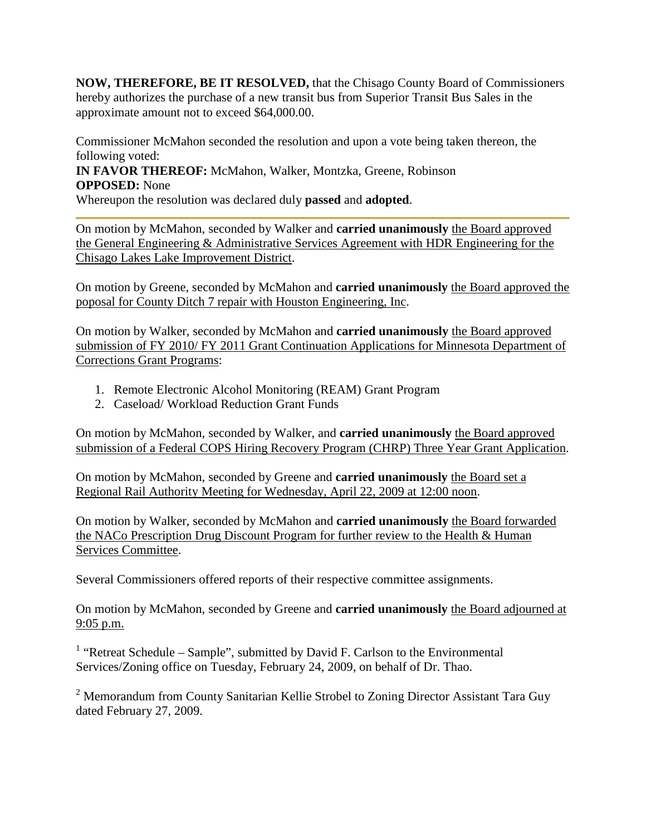**NOW, THEREFORE, BE IT RESOLVED,** that the Chisago County Board of Commissioners hereby authorizes the purchase of a new transit bus from Superior Transit Bus Sales in the approximate amount not to exceed \$64,000.00.

Commissioner McMahon seconded the resolution and upon a vote being taken thereon, the following voted:

**IN FAVOR THEREOF:** McMahon, Walker, Montzka, Greene, Robinson **OPPOSED:** None

Whereupon the resolution was declared duly **passed** and **adopted**.

On motion by McMahon, seconded by Walker and **carried unanimously** the Board approved the General Engineering & Administrative Services Agreement with HDR Engineering for the Chisago Lakes Lake Improvement District.

On motion by Greene, seconded by McMahon and **carried unanimously** the Board approved the poposal for County Ditch 7 repair with Houston Engineering, Inc.

On motion by Walker, seconded by McMahon and **carried unanimously** the Board approved submission of FY 2010/ FY 2011 Grant Continuation Applications for Minnesota Department of Corrections Grant Programs:

- 1. Remote Electronic Alcohol Monitoring (REAM) Grant Program
- 2. Caseload/ Workload Reduction Grant Funds

On motion by McMahon, seconded by Walker, and **carried unanimously** the Board approved submission of a Federal COPS Hiring Recovery Program (CHRP) Three Year Grant Application.

On motion by McMahon, seconded by Greene and **carried unanimously** the Board set a Regional Rail Authority Meeting for Wednesday, April 22, 2009 at 12:00 noon.

On motion by Walker, seconded by McMahon and **carried unanimously** the Board forwarded the NACo Prescription Drug Discount Program for further review to the Health & Human Services Committee.

Several Commissioners offered reports of their respective committee assignments.

On motion by McMahon, seconded by Greene and **carried unanimously** the Board adjourned at 9:05 p.m.

<sup>1</sup> "Retreat Schedule – Sample", submitted by David F. Carlson to the Environmental Services/Zoning office on Tuesday, February 24, 2009, on behalf of Dr. Thao.

 $2$  Memorandum from County Sanitarian Kellie Strobel to Zoning Director Assistant Tara Guy dated February 27, 2009.